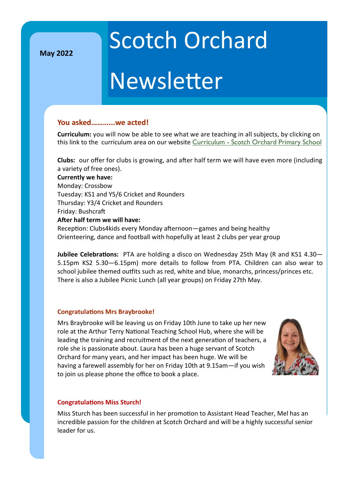**May 2022**

## Scotch Orchard

## Newsletter

#### **You asked………...we acted!**

**Curriculum:** you will now be able to see what we are teaching in all subjects, by clicking on this link to the curriculum area on our website Curriculum - [Scotch Orchard Primary School](https://scotchorchard.staffs.sch.uk/our-curriculum/)

**Clubs:** our offer for clubs is growing, and after half term we will have even more (including a variety of free ones).

**Currently we have:**

Monday: Crossbow Tuesday: KS1 and Y5/6 Cricket and Rounders Thursday: Y3/4 Cricket and Rounders

Friday: Bushcraft

#### **After half term we will have:**

Reception: Clubs4kids every Monday afternoon—games and being healthy Orienteering, dance and football with hopefully at least 2 clubs per year group

**Jubilee Celebrations:** PTA are holding a disco on Wednesday 25th May (R and KS1 4.30— 5.15pm KS2 5.30—6.15pm) more details to follow from PTA. Children can also wear to school jubilee themed outfits such as red, white and blue, monarchs, princess/princes etc. There is also a Jubilee Picnic Lunch (all year groups) on Friday 27th May.

#### **Congratulations Mrs Braybrooke!**

Mrs Braybrooke will be leaving us on Friday 10th June to take up her new role at the Arthur Terry National Teaching School Hub, where she will be leading the training and recruitment of the next generation of teachers, a role she is passionate about. Laura has been a huge servant of Scotch Orchard for many years, and her impact has been huge. We will be having a farewell assembly for her on Friday 10th at 9.15am—if you wish to join us please phone the office to book a place.



#### **Congratulations Miss Sturch!**

Miss Sturch has been successful in her promotion to Assistant Head Teacher, Mel has an incredible passion for the children at Scotch Orchard and will be a highly successful senior leader for us.